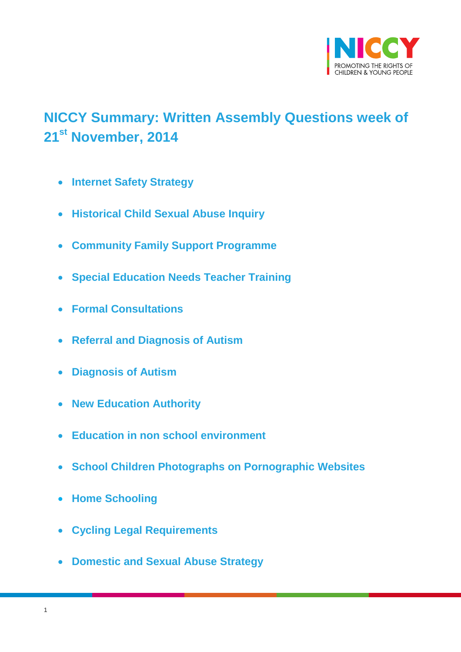

# <span id="page-0-0"></span>**NICCY Summary: Written Assembly Questions week of 21st November, 2014**

- **[Internet Safety Strategy](#page-2-0)**
- **[Historical Child Sexual Abuse Inquiry](#page-2-1)**
- **[Community Family Support Programme](#page-3-0)**
- **[Special Education Needs Teacher Training](#page-4-0)**
- **[Formal Consultations](#page-5-0)**
- **[Referral and Diagnosis of Autism](#page-6-0)**
- **[Diagnosis of Autism](#page-7-0)**
- **[New Education Authority](#page-7-1)**
- **[Education in non school environment](#page-8-0)**
- **[School Children Photographs on Pornographic Websites](#page-9-0)**
- **[Home Schooling](#page-9-1)**
- **[Cycling Legal Requirements](#page-11-0)**
- **[Domestic and Sexual Abuse Strategy](#page-13-0)**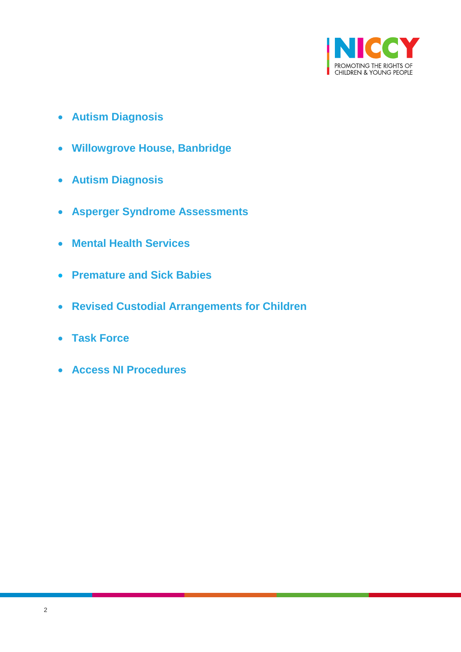

- **[Autism Diagnosis](#page-13-1)**
- **[Willowgrove House, Banbridge](#page-14-0)**
- **[Autism Diagnosis](#page-15-0)**
- **[Asperger Syndrome Assessments](#page-16-0)**
- **[Mental Health Services](#page-17-0)**
- **[Premature and Sick Babies](#page-18-0)**
- **[Revised Custodial Arrangements for Children](#page-19-0)**
- **[Task Force](#page-19-1)**
- **[Access NI Procedures](#page-20-0)**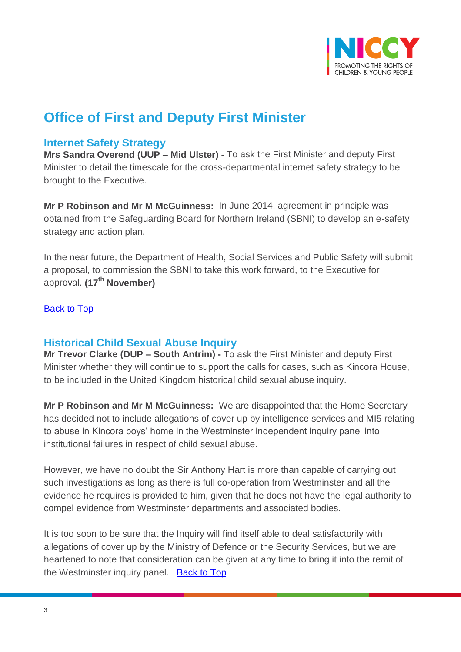

## **Office of First and Deputy First Minister**

## <span id="page-2-0"></span>**Internet Safety Strategy**

**Mrs Sandra Overend (UUP – Mid Ulster) -** To ask the First Minister and deputy First Minister to detail the timescale for the cross-departmental internet safety strategy to be brought to the Executive.

**Mr P Robinson and Mr M McGuinness:** In June 2014, agreement in principle was obtained from the Safeguarding Board for Northern Ireland (SBNI) to develop an e-safety strategy and action plan.

In the near future, the Department of Health, Social Services and Public Safety will submit a proposal, to commission the SBNI to take this work forward, to the Executive for approval. **(17th November)**

[Back to Top](#page-0-0)

## <span id="page-2-1"></span>**Historical Child Sexual Abuse Inquiry**

**Mr Trevor Clarke (DUP – South Antrim) -** To ask the First Minister and deputy First Minister whether they will continue to support the calls for cases, such as Kincora House, to be included in the United Kingdom historical child sexual abuse inquiry.

**Mr P Robinson and Mr M McGuinness:** We are disappointed that the Home Secretary has decided not to include allegations of cover up by intelligence services and MI5 relating to abuse in Kincora boys' home in the Westminster independent inquiry panel into institutional failures in respect of child sexual abuse.

However, we have no doubt the Sir Anthony Hart is more than capable of carrying out such investigations as long as there is full co-operation from Westminster and all the evidence he requires is provided to him, given that he does not have the legal authority to compel evidence from Westminster departments and associated bodies.

It is too soon to be sure that the Inquiry will find itself able to deal satisfactorily with allegations of cover up by the Ministry of Defence or the Security Services, but we are heartened to note that consideration can be given at any time to bring it into the remit of the Westminster inquiry panel. [Back to Top](#page-0-0)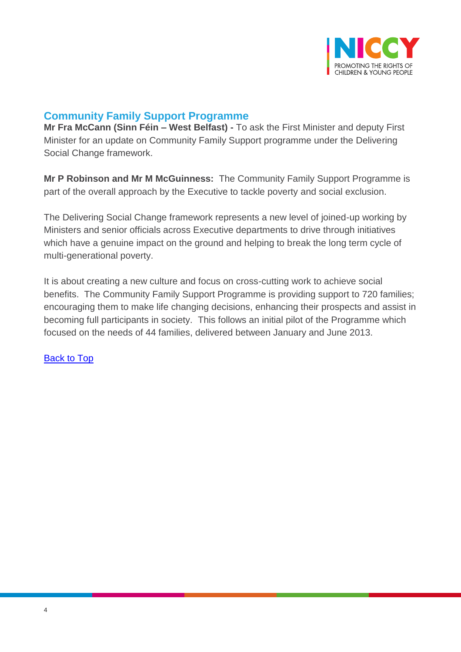

## <span id="page-3-0"></span>**Community Family Support Programme**

**Mr Fra McCann (Sinn Féin – West Belfast) -** To ask the First Minister and deputy First Minister for an update on Community Family Support programme under the Delivering Social Change framework.

**Mr P Robinson and Mr M McGuinness:** The Community Family Support Programme is part of the overall approach by the Executive to tackle poverty and social exclusion.

The Delivering Social Change framework represents a new level of joined-up working by Ministers and senior officials across Executive departments to drive through initiatives which have a genuine impact on the ground and helping to break the long term cycle of multi-generational poverty.

It is about creating a new culture and focus on cross-cutting work to achieve social benefits. The Community Family Support Programme is providing support to 720 families; encouraging them to make life changing decisions, enhancing their prospects and assist in becoming full participants in society. This follows an initial pilot of the Programme which focused on the needs of 44 families, delivered between January and June 2013.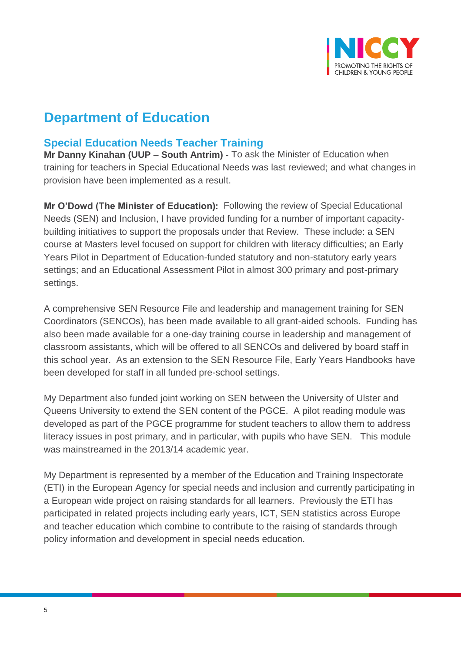

## **Department of Education**

## <span id="page-4-0"></span>**Special Education Needs Teacher Training**

**Mr Danny Kinahan (UUP – South Antrim) -** To ask the Minister of Education when training for teachers in Special Educational Needs was last reviewed; and what changes in provision have been implemented as a result.

**Mr O'Dowd (The Minister of Education):** Following the review of Special Educational Needs (SEN) and Inclusion, I have provided funding for a number of important capacitybuilding initiatives to support the proposals under that Review. These include: a SEN course at Masters level focused on support for children with literacy difficulties; an Early Years Pilot in Department of Education-funded statutory and non-statutory early years settings; and an Educational Assessment Pilot in almost 300 primary and post-primary settings.

A comprehensive SEN Resource File and leadership and management training for SEN Coordinators (SENCOs), has been made available to all grant-aided schools. Funding has also been made available for a one-day training course in leadership and management of classroom assistants, which will be offered to all SENCOs and delivered by board staff in this school year. As an extension to the SEN Resource File, Early Years Handbooks have been developed for staff in all funded pre-school settings.

My Department also funded joint working on SEN between the University of Ulster and Queens University to extend the SEN content of the PGCE. A pilot reading module was developed as part of the PGCE programme for student teachers to allow them to address literacy issues in post primary, and in particular, with pupils who have SEN. This module was mainstreamed in the 2013/14 academic year.

My Department is represented by a member of the Education and Training Inspectorate (ETI) in the European Agency for special needs and inclusion and currently participating in a European wide project on raising standards for all learners. Previously the ETI has participated in related projects including early years, ICT, SEN statistics across Europe and teacher education which combine to contribute to the raising of standards through policy information and development in special needs education.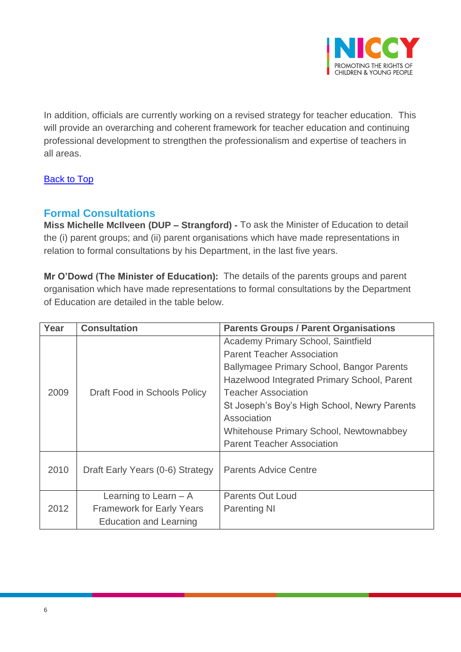

In addition, officials are currently working on a revised strategy for teacher education. This will provide an overarching and coherent framework for teacher education and continuing professional development to strengthen the professionalism and expertise of teachers in all areas.

### **[Back to Top](#page-0-0)**

## <span id="page-5-0"></span>**Formal Consultations**

**Miss Michelle McIlveen (DUP – Strangford) -** To ask the Minister of Education to detail the (i) parent groups; and (ii) parent organisations which have made representations in relation to formal consultations by his Department, in the last five years.

**Mr O'Dowd (The Minister of Education):** The details of the parents groups and parent organisation which have made representations to formal consultations by the Department of Education are detailed in the table below.

| Year | <b>Consultation</b>                                                                          | <b>Parents Groups / Parent Organisations</b>                                                                                                                                                                                                                                                                                                     |  |  |  |
|------|----------------------------------------------------------------------------------------------|--------------------------------------------------------------------------------------------------------------------------------------------------------------------------------------------------------------------------------------------------------------------------------------------------------------------------------------------------|--|--|--|
| 2009 | Draft Food in Schools Policy                                                                 | Academy Primary School, Saintfield<br><b>Parent Teacher Association</b><br>Ballymagee Primary School, Bangor Parents<br>Hazelwood Integrated Primary School, Parent<br><b>Teacher Association</b><br>St Joseph's Boy's High School, Newry Parents<br>Association<br>Whitehouse Primary School, Newtownabbey<br><b>Parent Teacher Association</b> |  |  |  |
| 2010 | Draft Early Years (0-6) Strategy                                                             | <b>Parents Advice Centre</b>                                                                                                                                                                                                                                                                                                                     |  |  |  |
| 2012 | Learning to Learn $- A$<br><b>Framework for Early Years</b><br><b>Education and Learning</b> | <b>Parents Out Loud</b><br><b>Parenting NI</b>                                                                                                                                                                                                                                                                                                   |  |  |  |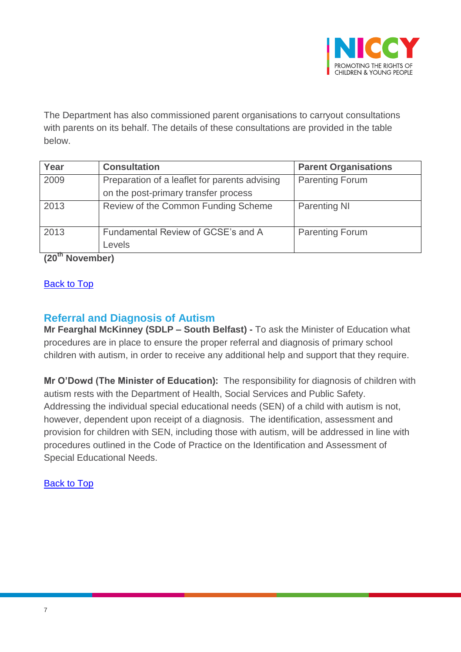

The Department has also commissioned parent organisations to carryout consultations with parents on its behalf. The details of these consultations are provided in the table below.

| Year | <b>Consultation</b>                           | <b>Parent Organisations</b> |
|------|-----------------------------------------------|-----------------------------|
| 2009 | Preparation of a leaflet for parents advising | <b>Parenting Forum</b>      |
|      | on the post-primary transfer process          |                             |
| 2013 | Review of the Common Funding Scheme           | <b>Parenting NI</b>         |
| 2013 | Fundamental Review of GCSE's and A            | <b>Parenting Forum</b>      |
|      | Levels                                        |                             |

**(20th November)**

### [Back to Top](#page-0-0)

## <span id="page-6-0"></span>**Referral and Diagnosis of Autism**

**Mr Fearghal McKinney (SDLP – South Belfast) -** To ask the Minister of Education what procedures are in place to ensure the proper referral and diagnosis of primary school children with autism, in order to receive any additional help and support that they require.

**Mr O'Dowd (The Minister of Education):** The responsibility for diagnosis of children with autism rests with the Department of Health, Social Services and Public Safety. Addressing the individual special educational needs (SEN) of a child with autism is not, however, dependent upon receipt of a diagnosis. The identification, assessment and provision for children with SEN, including those with autism, will be addressed in line with procedures outlined in the Code of Practice on the Identification and Assessment of Special Educational Needs.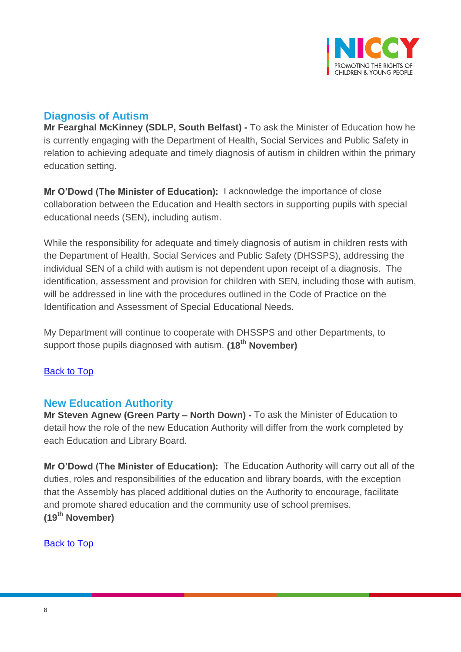

## <span id="page-7-0"></span>**Diagnosis of Autism**

**Mr Fearghal McKinney (SDLP, South Belfast) -** To ask the Minister of Education how he is currently engaging with the Department of Health, Social Services and Public Safety in relation to achieving adequate and timely diagnosis of autism in children within the primary education setting.

**Mr O'Dowd (The Minister of Education):** I acknowledge the importance of close collaboration between the Education and Health sectors in supporting pupils with special educational needs (SEN), including autism.

While the responsibility for adequate and timely diagnosis of autism in children rests with the Department of Health, Social Services and Public Safety (DHSSPS), addressing the individual SEN of a child with autism is not dependent upon receipt of a diagnosis. The identification, assessment and provision for children with SEN, including those with autism, will be addressed in line with the procedures outlined in the Code of Practice on the Identification and Assessment of Special Educational Needs.

My Department will continue to cooperate with DHSSPS and other Departments, to support those pupils diagnosed with autism. **(18th November)**

### [Back to Top](#page-0-0)

## <span id="page-7-1"></span>**New Education Authority**

**Mr Steven Agnew (Green Party – North Down) -** To ask the Minister of Education to detail how the role of the new Education Authority will differ from the work completed by each Education and Library Board.

**Mr O'Dowd (The Minister of Education):** The Education Authority will carry out all of the duties, roles and responsibilities of the education and library boards, with the exception that the Assembly has placed additional duties on the Authority to encourage, facilitate and promote shared education and the community use of school premises. **(19th November)**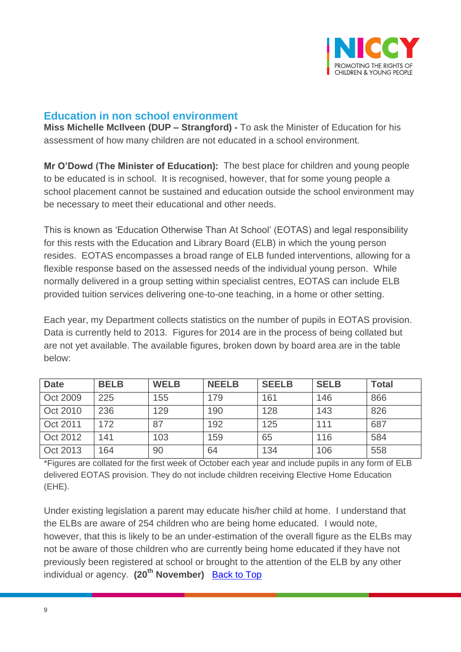

## <span id="page-8-0"></span>**Education in non school environment**

**Miss Michelle McIlveen (DUP – Strangford) -** To ask the Minister of Education for his assessment of how many children are not educated in a school environment.

**Mr O'Dowd (The Minister of Education):** The best place for children and young people to be educated is in school. It is recognised, however, that for some young people a school placement cannot be sustained and education outside the school environment may be necessary to meet their educational and other needs.

This is known as 'Education Otherwise Than At School' (EOTAS) and legal responsibility for this rests with the Education and Library Board (ELB) in which the young person resides. EOTAS encompasses a broad range of ELB funded interventions, allowing for a flexible response based on the assessed needs of the individual young person. While normally delivered in a group setting within specialist centres, EOTAS can include ELB provided tuition services delivering one-to-one teaching, in a home or other setting.

Each year, my Department collects statistics on the number of pupils in EOTAS provision. Data is currently held to 2013. Figures for 2014 are in the process of being collated but are not yet available. The available figures, broken down by board area are in the table below:

| <b>Date</b> | <b>BELB</b> | <b>WELB</b> | <b>NEELB</b> | <b>SEELB</b> | <b>SELB</b> | <b>Total</b> |
|-------------|-------------|-------------|--------------|--------------|-------------|--------------|
| Oct 2009    | 225         | 155         | 179          | 161          | 146         | 866          |
| Oct 2010    | 236         | 129         | 190          | 128          | 143         | 826          |
| Oct 2011    | 172         | 87          | 192          | 125          | 111         | 687          |
| Oct 2012    | 141         | 103         | 159          | 65           | 116         | 584          |
| Oct 2013    | 164         | 90          | 64           | 134          | 106         | 558          |

\*Figures are collated for the first week of October each year and include pupils in any form of ELB delivered EOTAS provision. They do not include children receiving Elective Home Education (EHE).

Under existing legislation a parent may educate his/her child at home. I understand that the ELBs are aware of 254 children who are being home educated. I would note, however, that this is likely to be an under-estimation of the overall figure as the ELBs may not be aware of those children who are currently being home educated if they have not previously been registered at school or brought to the attention of the ELB by any other individual or agency. **(20th November)** [Back to Top](#page-0-0)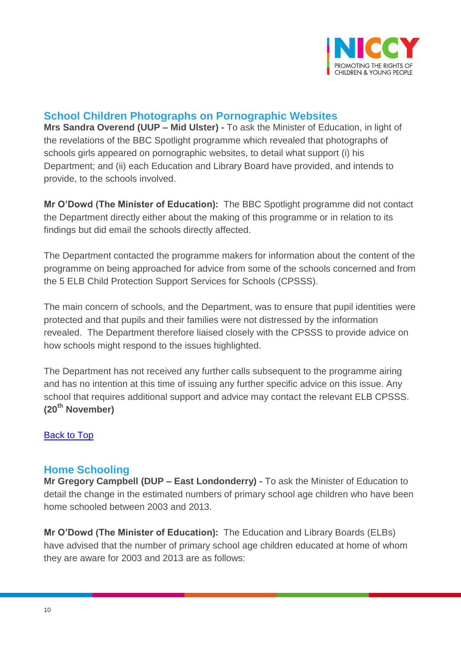

## <span id="page-9-0"></span>**School Children Photographs on Pornographic Websites**

**Mrs Sandra Overend (UUP – Mid Ulster) -** To ask the Minister of Education, in light of the revelations of the BBC Spotlight programme which revealed that photographs of schools girls appeared on pornographic websites, to detail what support (i) his Department; and (ii) each Education and Library Board have provided, and intends to provide, to the schools involved.

**Mr O'Dowd (The Minister of Education):** The BBC Spotlight programme did not contact the Department directly either about the making of this programme or in relation to its findings but did email the schools directly affected.

The Department contacted the programme makers for information about the content of the programme on being approached for advice from some of the schools concerned and from the 5 ELB Child Protection Support Services for Schools (CPSSS).

The main concern of schools, and the Department, was to ensure that pupil identities were protected and that pupils and their families were not distressed by the information revealed. The Department therefore liaised closely with the CPSSS to provide advice on how schools might respond to the issues highlighted.

The Department has not received any further calls subsequent to the programme airing and has no intention at this time of issuing any further specific advice on this issue. Any school that requires additional support and advice may contact the relevant ELB CPSSS. **(20th November)**

[Back to Top](#page-0-0)

## <span id="page-9-1"></span>**Home Schooling**

**Mr Gregory Campbell (DUP – East Londonderry) -** To ask the Minister of Education to detail the change in the estimated numbers of primary school age children who have been home schooled between 2003 and 2013.

**Mr O'Dowd (The Minister of Education):** The Education and Library Boards (ELBs) have advised that the number of primary school age children educated at home of whom they are aware for 2003 and 2013 are as follows: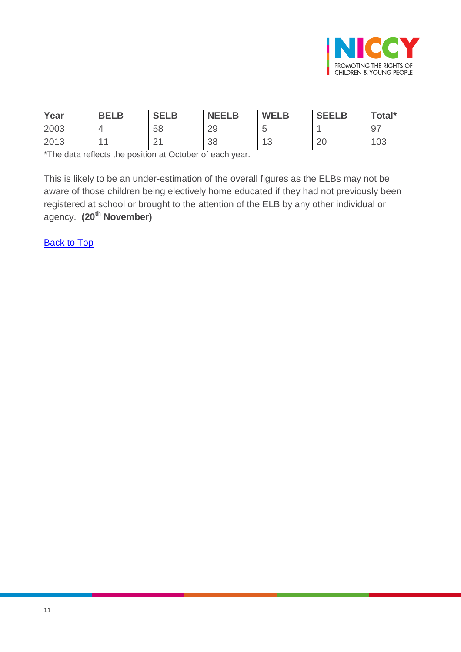

| Year | <b>BELB</b>    | <b>SELB</b>    | <b>NEELB</b> | <b>WELB</b>                      | <b>SEELB</b> | Total* |
|------|----------------|----------------|--------------|----------------------------------|--------------|--------|
| 2003 |                | 58             | 29           | ີ                                |              | 97     |
| 2013 | 4 <sub>4</sub> | $\bigcap$<br>- | 38           | $\triangleleft$ $\triangle$<br>◡ | 20           | 103    |

\*The data reflects the position at October of each year.

This is likely to be an under-estimation of the overall figures as the ELBs may not be aware of those children being electively home educated if they had not previously been registered at school or brought to the attention of the ELB by any other individual or agency. **(20th November)**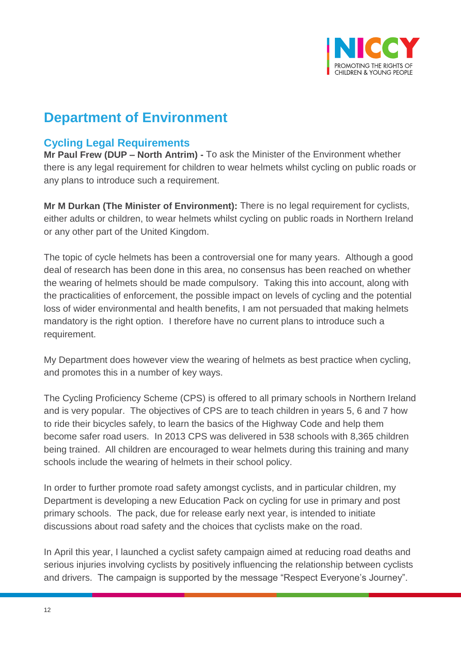

## **Department of Environment**

## <span id="page-11-0"></span>**Cycling Legal Requirements**

**Mr Paul Frew (DUP – North Antrim) -** To ask the Minister of the Environment whether there is any legal requirement for children to wear helmets whilst cycling on public roads or any plans to introduce such a requirement.

**Mr M Durkan (The Minister of Environment):** There is no legal requirement for cyclists, either adults or children, to wear helmets whilst cycling on public roads in Northern Ireland or any other part of the United Kingdom.

The topic of cycle helmets has been a controversial one for many years. Although a good deal of research has been done in this area, no consensus has been reached on whether the wearing of helmets should be made compulsory. Taking this into account, along with the practicalities of enforcement, the possible impact on levels of cycling and the potential loss of wider environmental and health benefits, I am not persuaded that making helmets mandatory is the right option. I therefore have no current plans to introduce such a requirement.

My Department does however view the wearing of helmets as best practice when cycling, and promotes this in a number of key ways.

The Cycling Proficiency Scheme (CPS) is offered to all primary schools in Northern Ireland and is very popular. The objectives of CPS are to teach children in years 5, 6 and 7 how to ride their bicycles safely, to learn the basics of the Highway Code and help them become safer road users. In 2013 CPS was delivered in 538 schools with 8,365 children being trained. All children are encouraged to wear helmets during this training and many schools include the wearing of helmets in their school policy.

In order to further promote road safety amongst cyclists, and in particular children, my Department is developing a new Education Pack on cycling for use in primary and post primary schools. The pack, due for release early next year, is intended to initiate discussions about road safety and the choices that cyclists make on the road.

In April this year, I launched a cyclist safety campaign aimed at reducing road deaths and serious injuries involving cyclists by positively influencing the relationship between cyclists and drivers. The campaign is supported by the message "Respect Everyone's Journey".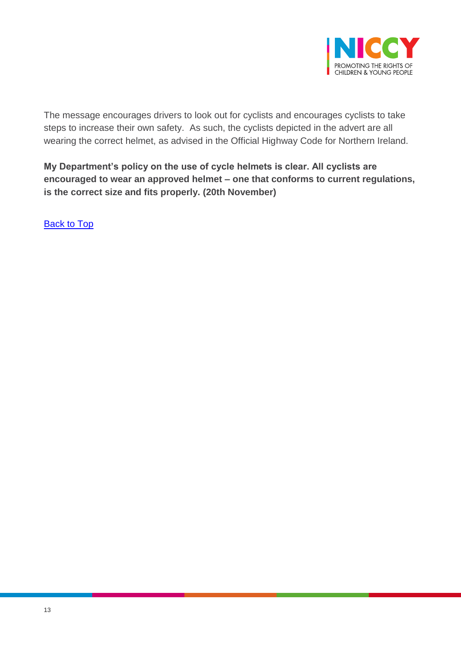

The message encourages drivers to look out for cyclists and encourages cyclists to take steps to increase their own safety. As such, the cyclists depicted in the advert are all wearing the correct helmet, as advised in the Official Highway Code for Northern Ireland.

**My Department's policy on the use of cycle helmets is clear. All cyclists are encouraged to wear an approved helmet – one that conforms to current regulations, is the correct size and fits properly. (20th November)**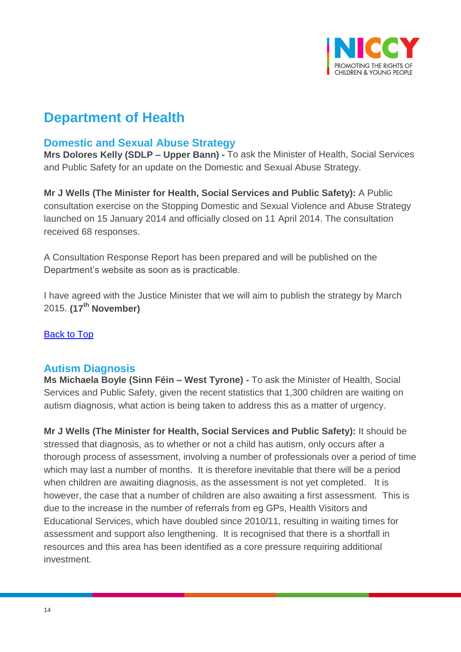

## **Department of Health**

## <span id="page-13-0"></span>**Domestic and Sexual Abuse Strategy**

**Mrs Dolores Kelly (SDLP – Upper Bann) -** To ask the Minister of Health, Social Services and Public Safety for an update on the Domestic and Sexual Abuse Strategy.

**Mr J Wells (The Minister for Health, Social Services and Public Safety):** A Public consultation exercise on the Stopping Domestic and Sexual Violence and Abuse Strategy launched on 15 January 2014 and officially closed on 11 April 2014. The consultation received 68 responses.

A Consultation Response Report has been prepared and will be published on the Department's website as soon as is practicable.

I have agreed with the Justice Minister that we will aim to publish the strategy by March 2015. **(17th November)**

### <span id="page-13-1"></span>**[Back to Top](#page-0-0)**

### **Autism Diagnosis**

**Ms Michaela Boyle (Sinn Féin – West Tyrone) -** To ask the Minister of Health, Social Services and Public Safety, given the recent statistics that 1,300 children are waiting on autism diagnosis, what action is being taken to address this as a matter of urgency.

**Mr J Wells (The Minister for Health, Social Services and Public Safety):** It should be stressed that diagnosis, as to whether or not a child has autism, only occurs after a thorough process of assessment, involving a number of professionals over a period of time which may last a number of months. It is therefore inevitable that there will be a period when children are awaiting diagnosis, as the assessment is not yet completed. It is however, the case that a number of children are also awaiting a first assessment. This is due to the increase in the number of referrals from eg GPs, Health Visitors and Educational Services, which have doubled since 2010/11, resulting in waiting times for assessment and support also lengthening. It is recognised that there is a shortfall in resources and this area has been identified as a core pressure requiring additional investment.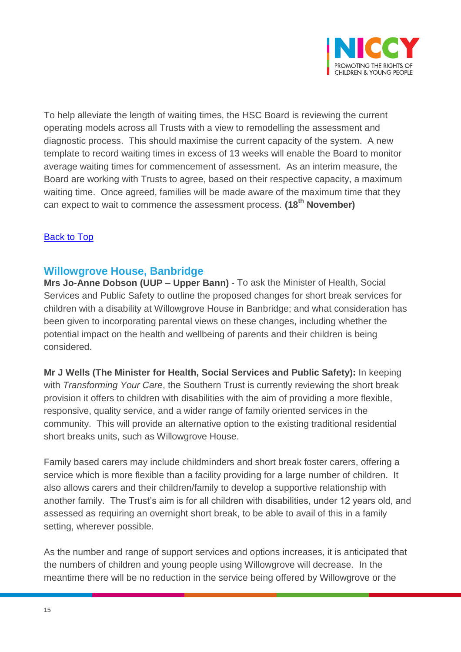

To help alleviate the length of waiting times, the HSC Board is reviewing the current operating models across all Trusts with a view to remodelling the assessment and diagnostic process. This should maximise the current capacity of the system. A new template to record waiting times in excess of 13 weeks will enable the Board to monitor average waiting times for commencement of assessment. As an interim measure, the Board are working with Trusts to agree, based on their respective capacity, a maximum waiting time. Once agreed, families will be made aware of the maximum time that they can expect to wait to commence the assessment process. **(18th November)**

### [Back to Top](#page-0-0)

### <span id="page-14-0"></span>**Willowgrove House, Banbridge**

**Mrs Jo-Anne Dobson (UUP – Upper Bann) -** To ask the Minister of Health, Social Services and Public Safety to outline the proposed changes for short break services for children with a disability at Willowgrove House in Banbridge; and what consideration has been given to incorporating parental views on these changes, including whether the potential impact on the health and wellbeing of parents and their children is being considered.

**Mr J Wells (The Minister for Health, Social Services and Public Safety):** In keeping with *Transforming Your Care*, the Southern Trust is currently reviewing the short break provision it offers to children with disabilities with the aim of providing a more flexible, responsive, quality service, and a wider range of family oriented services in the community. This will provide an alternative option to the existing traditional residential short breaks units, such as Willowgrove House.

Family based carers may include childminders and short break foster carers, offering a service which is more flexible than a facility providing for a large number of children. It also allows carers and their children/family to develop a supportive relationship with another family. The Trust's aim is for all children with disabilities, under 12 years old, and assessed as requiring an overnight short break, to be able to avail of this in a family setting, wherever possible.

As the number and range of support services and options increases, it is anticipated that the numbers of children and young people using Willowgrove will decrease. In the meantime there will be no reduction in the service being offered by Willowgrove or the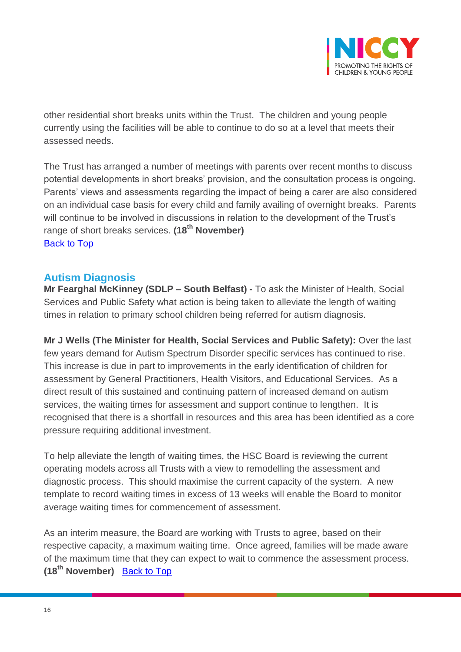

other residential short breaks units within the Trust. The children and young people currently using the facilities will be able to continue to do so at a level that meets their assessed needs.

The Trust has arranged a number of meetings with parents over recent months to discuss potential developments in short breaks' provision, and the consultation process is ongoing. Parents' views and assessments regarding the impact of being a carer are also considered on an individual case basis for every child and family availing of overnight breaks. Parents will continue to be involved in discussions in relation to the development of the Trust's range of short breaks services. **(18 th November)** [Back to Top](#page-0-0)

## <span id="page-15-0"></span>**Autism Diagnosis**

**Mr Fearghal McKinney (SDLP – South Belfast) -** To ask the Minister of Health, Social Services and Public Safety what action is being taken to alleviate the length of waiting times in relation to primary school children being referred for autism diagnosis.

**Mr J Wells (The Minister for Health, Social Services and Public Safety):** Over the last few years demand for Autism Spectrum Disorder specific services has continued to rise. This increase is due in part to improvements in the early identification of children for assessment by General Practitioners, Health Visitors, and Educational Services. As a direct result of this sustained and continuing pattern of increased demand on autism services, the waiting times for assessment and support continue to lengthen. It is recognised that there is a shortfall in resources and this area has been identified as a core pressure requiring additional investment.

To help alleviate the length of waiting times, the HSC Board is reviewing the current operating models across all Trusts with a view to remodelling the assessment and diagnostic process. This should maximise the current capacity of the system. A new template to record waiting times in excess of 13 weeks will enable the Board to monitor average waiting times for commencement of assessment.

As an interim measure, the Board are working with Trusts to agree, based on their respective capacity, a maximum waiting time. Once agreed, families will be made aware of the maximum time that they can expect to wait to commence the assessment process. **(18th November)** [Back to Top](#page-0-0)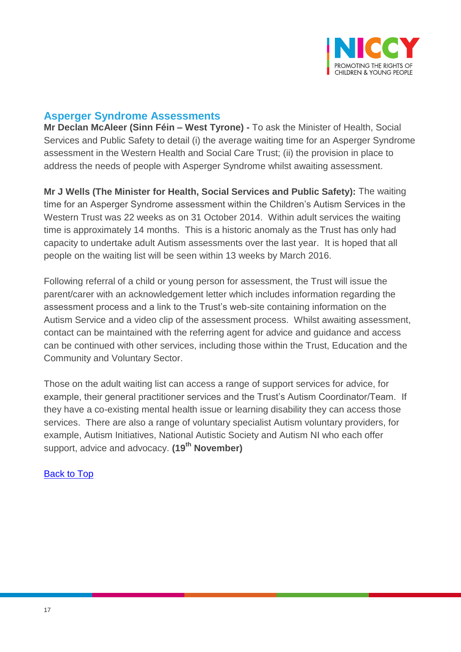

## <span id="page-16-0"></span>**Asperger Syndrome Assessments**

**Mr Declan McAleer (Sinn Féin – West Tyrone) -** To ask the Minister of Health, Social Services and Public Safety to detail (i) the average waiting time for an Asperger Syndrome assessment in the Western Health and Social Care Trust; (ii) the provision in place to address the needs of people with Asperger Syndrome whilst awaiting assessment.

**Mr J Wells (The Minister for Health, Social Services and Public Safety):** The waiting time for an Asperger Syndrome assessment within the Children's Autism Services in the Western Trust was 22 weeks as on 31 October 2014. Within adult services the waiting time is approximately 14 months. This is a historic anomaly as the Trust has only had capacity to undertake adult Autism assessments over the last year. It is hoped that all people on the waiting list will be seen within 13 weeks by March 2016.

Following referral of a child or young person for assessment, the Trust will issue the parent/carer with an acknowledgement letter which includes information regarding the assessment process and a link to the Trust's web-site containing information on the Autism Service and a video clip of the assessment process. Whilst awaiting assessment, contact can be maintained with the referring agent for advice and guidance and access can be continued with other services, including those within the Trust, Education and the Community and Voluntary Sector.

Those on the adult waiting list can access a range of support services for advice, for example, their general practitioner services and the Trust's Autism Coordinator/Team. If they have a co-existing mental health issue or learning disability they can access those services. There are also a range of voluntary specialist Autism voluntary providers, for example, Autism Initiatives, National Autistic Society and Autism NI who each offer support, advice and advocacy. **(19th November)**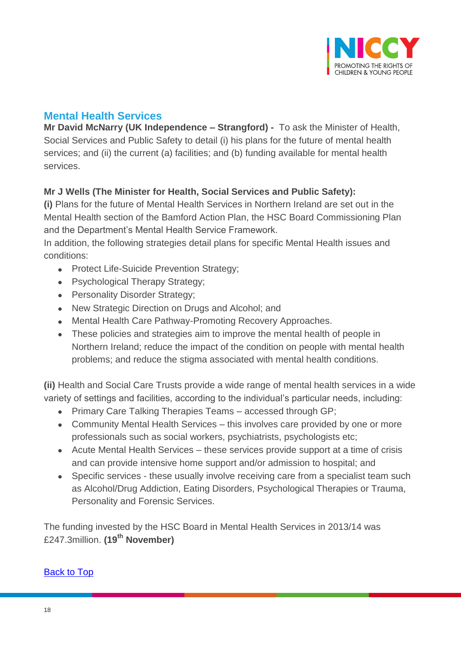

## <span id="page-17-0"></span>**Mental Health Services**

**Mr David McNarry (UK Independence – Strangford) -** To ask the Minister of Health, Social Services and Public Safety to detail (i) his plans for the future of mental health services; and (ii) the current (a) facilities; and (b) funding available for mental health services.

### **Mr J Wells (The Minister for Health, Social Services and Public Safety):**

**(i)** Plans for the future of Mental Health Services in Northern Ireland are set out in the Mental Health section of the Bamford Action Plan, the HSC Board Commissioning Plan and the Department's Mental Health Service Framework.

In addition, the following strategies detail plans for specific Mental Health issues and conditions:

- Protect Life-Suicide Prevention Strategy;
- Psychological Therapy Strategy;
- Personality Disorder Strategy;
- New Strategic Direction on Drugs and Alcohol; and
- Mental Health Care Pathway-Promoting Recovery Approaches.
- These policies and strategies aim to improve the mental health of people in Northern Ireland; reduce the impact of the condition on people with mental health problems; and reduce the stigma associated with mental health conditions.

**(ii)** Health and Social Care Trusts provide a wide range of mental health services in a wide variety of settings and facilities, according to the individual's particular needs, including:

- Primary Care Talking Therapies Teams accessed through GP;
- Community Mental Health Services this involves care provided by one or more professionals such as social workers, psychiatrists, psychologists etc;
- Acute Mental Health Services these services provide support at a time of crisis and can provide intensive home support and/or admission to hospital; and
- Specific services these usually involve receiving care from a specialist team such as Alcohol/Drug Addiction, Eating Disorders, Psychological Therapies or Trauma, Personality and Forensic Services.

The funding invested by the HSC Board in Mental Health Services in 2013/14 was £247.3million. **(19th November)**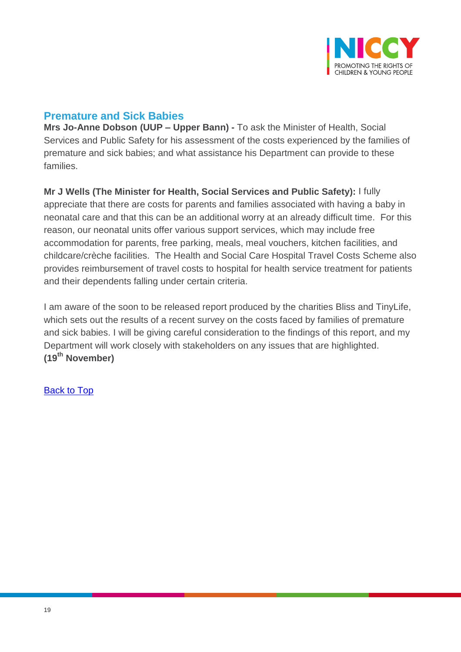

## <span id="page-18-0"></span>**Premature and Sick Babies**

**Mrs Jo-Anne Dobson (UUP – Upper Bann) -** To ask the Minister of Health, Social Services and Public Safety for his assessment of the costs experienced by the families of premature and sick babies; and what assistance his Department can provide to these families.

**Mr J Wells (The Minister for Health, Social Services and Public Safety):** I fully appreciate that there are costs for parents and families associated with having a baby in neonatal care and that this can be an additional worry at an already difficult time. For this reason, our neonatal units offer various support services, which may include free accommodation for parents, free parking, meals, meal vouchers, kitchen facilities, and childcare/crèche facilities. The Health and Social Care Hospital Travel Costs Scheme also provides reimbursement of travel costs to hospital for health service treatment for patients and their dependents falling under certain criteria.

I am aware of the soon to be released report produced by the charities Bliss and TinyLife, which sets out the results of a recent survey on the costs faced by families of premature and sick babies. I will be giving careful consideration to the findings of this report, and my Department will work closely with stakeholders on any issues that are highlighted. **(19th November)**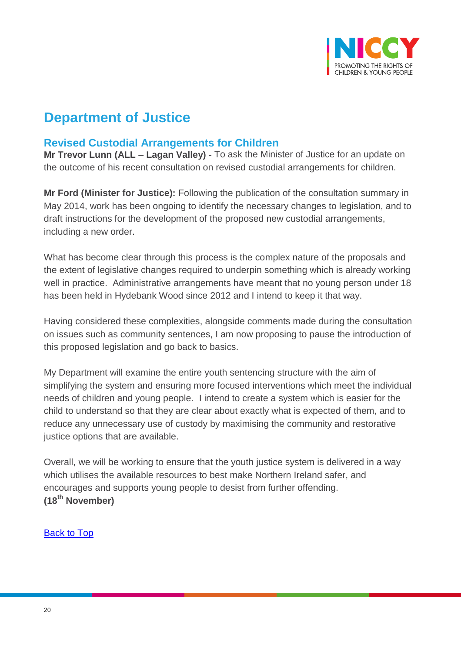

## **Department of Justice**

## <span id="page-19-0"></span>**Revised Custodial Arrangements for Children**

**Mr Trevor Lunn (ALL – Lagan Valley) -** To ask the Minister of Justice for an update on the outcome of his recent consultation on revised custodial arrangements for children.

**Mr Ford (Minister for Justice):** Following the publication of the consultation summary in May 2014, work has been ongoing to identify the necessary changes to legislation, and to draft instructions for the development of the proposed new custodial arrangements, including a new order.

What has become clear through this process is the complex nature of the proposals and the extent of legislative changes required to underpin something which is already working well in practice. Administrative arrangements have meant that no young person under 18 has been held in Hydebank Wood since 2012 and I intend to keep it that way.

Having considered these complexities, alongside comments made during the consultation on issues such as community sentences, I am now proposing to pause the introduction of this proposed legislation and go back to basics.

My Department will examine the entire youth sentencing structure with the aim of simplifying the system and ensuring more focused interventions which meet the individual needs of children and young people. I intend to create a system which is easier for the child to understand so that they are clear about exactly what is expected of them, and to reduce any unnecessary use of custody by maximising the community and restorative justice options that are available.

<span id="page-19-1"></span>Overall, we will be working to ensure that the youth justice system is delivered in a way which utilises the available resources to best make Northern Ireland safer, and encourages and supports young people to desist from further offending. **(18th November)**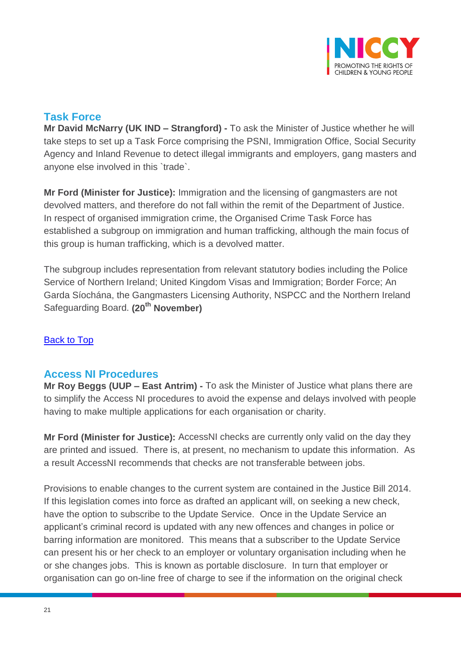

## **Task Force**

**Mr David McNarry (UK IND – Strangford) -** To ask the Minister of Justice whether he will take steps to set up a Task Force comprising the PSNI, Immigration Office, Social Security Agency and Inland Revenue to detect illegal immigrants and employers, gang masters and anyone else involved in this `trade`.

**Mr Ford (Minister for Justice):** Immigration and the licensing of gangmasters are not devolved matters, and therefore do not fall within the remit of the Department of Justice. In respect of organised immigration crime, the Organised Crime Task Force has established a subgroup on immigration and human trafficking, although the main focus of this group is human trafficking, which is a devolved matter.

The subgroup includes representation from relevant statutory bodies including the Police Service of Northern Ireland; United Kingdom Visas and Immigration; Border Force; An Garda Síochána, the Gangmasters Licensing Authority, NSPCC and the Northern Ireland Safeguarding Board. **(20th November)**

### [Back to Top](#page-0-0)

## <span id="page-20-0"></span>**Access NI Procedures**

**Mr Roy Beggs (UUP – East Antrim) -** To ask the Minister of Justice what plans there are to simplify the Access NI procedures to avoid the expense and delays involved with people having to make multiple applications for each organisation or charity.

**Mr Ford (Minister for Justice):** AccessNI checks are currently only valid on the day they are printed and issued. There is, at present, no mechanism to update this information. As a result AccessNI recommends that checks are not transferable between jobs.

Provisions to enable changes to the current system are contained in the Justice Bill 2014. If this legislation comes into force as drafted an applicant will, on seeking a new check, have the option to subscribe to the Update Service. Once in the Update Service an applicant's criminal record is updated with any new offences and changes in police or barring information are monitored. This means that a subscriber to the Update Service can present his or her check to an employer or voluntary organisation including when he or she changes jobs. This is known as portable disclosure. In turn that employer or organisation can go on-line free of charge to see if the information on the original check